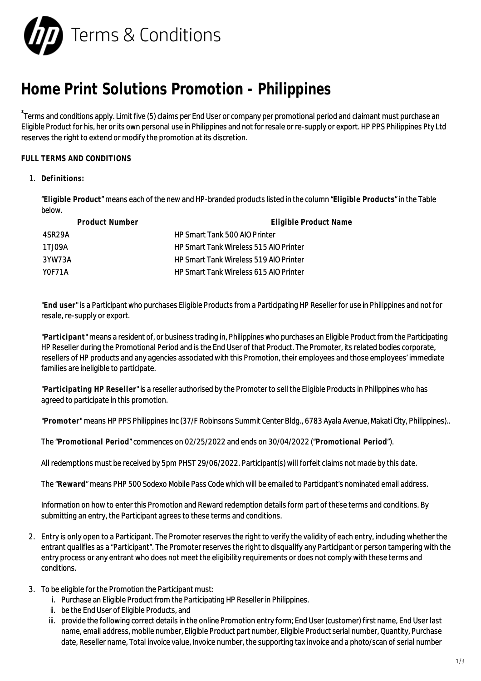

## **Home Print Solutions Promotion - Philippines**

\*Terms and conditions apply. Limit five (5) claims per End User or company per promotional period and claimant must purchase an Eligible Product for his, her or its own personal use in Philippines and not for resale or re-supply or export. HP PPS Philippines Pty Ltd reserves the right to extend or modify the promotion at its discretion.

## **FULL TERMS AND CONDITIONS**

1. **Definitions:**

"**Eligible Product**" means each of the new and HP-branded products listed in the column "**Eligible Products**" in the Table below.

| Product Number | Eligible Product Name                         |
|----------------|-----------------------------------------------|
| 4SR29A         | HP Smart Tank 500 AIO Printer                 |
| 1TJ09A         | <b>HP Smart Tank Wireless 515 AIO Printer</b> |
| 3YW73A         | <b>HP Smart Tank Wireless 519 AIO Printer</b> |
| YOF71A         | HP Smart Tank Wireless 615 AIO Printer        |

"**End user**" is a Participant who purchases Eligible Products from a Participating HP Reseller for use in Philippines and not for resale, re-supply or export.

"**Participant**" means a resident of, or business trading in, Philippines who purchases an Eligible Product from the Participating HP Reseller during the Promotional Period and is the End User of that Product. The Promoter, its related bodies corporate, resellers of HP products and any agencies associated with this Promotion, their employees and those employees' immediate families are ineligible to participate.

"**Participating HP Reseller**" is a reseller authorised by the Promoter to sell the Eligible Products in Philippines who has agreed to participate in this promotion.

"**Promoter**" means HP PPS Philippines Inc (37/F Robinsons Summit Center Bldg., 6783 Ayala Avenue, Makati City, Philippines)..

The "**Promotional Period**" commences on 02/25/2022 and ends on 30/04/2022 ("**Promotional Period**").

All redemptions must be received by 5pm PHST 29/06/2022. Participant(s) will forfeit claims not made by this date.

The "**Reward**" means PHP 500 Sodexo Mobile Pass Code which will be emailed to Participant's nominated email address.

Information on how to enter this Promotion and Reward redemption details form part of these terms and conditions. By submitting an entry, the Participant agrees to these terms and conditions.

- 2. Entry is only open to a Participant. The Promoter reserves the right to verify the validity of each entry, including whether the entrant qualifies as a "Participant". The Promoter reserves the right to disqualify any Participant or person tampering with the entry process or any entrant who does not meet the eligibility requirements or does not comply with these terms and conditions.
- 3. To be eligible for the Promotion the Participant must:
	- i. Purchase an Eligible Product from the Participating HP Reseller in Philippines.
	- ii. be the End User of Eligible Products, and
	- iii. provide the following correct details in the online Promotion entry form; End User (customer) first name, End User last name, email address, mobile number, Eligible Product part number, Eligible Product serial number, Quantity, Purchase date, Reseller name, Total invoice value, Invoice number, the supporting tax invoice and a photo/scan of serial number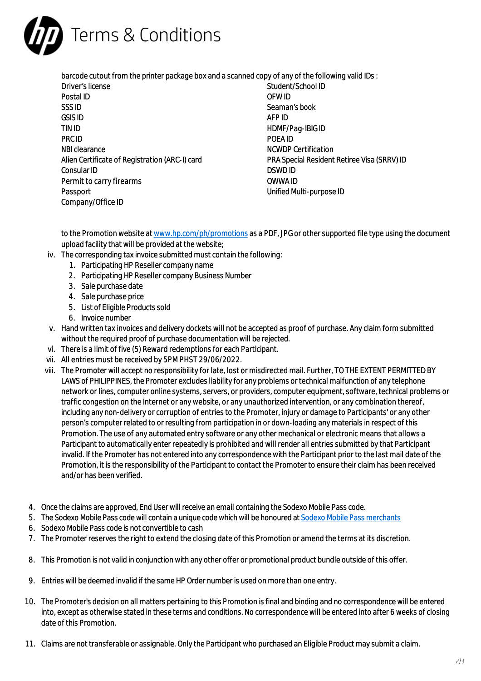

| barcode cutout from the printer package box and a scanned copy of any of the following valid IDs : |                                             |
|----------------------------------------------------------------------------------------------------|---------------------------------------------|
| Driver's license                                                                                   | Student/School ID                           |
| Postal ID                                                                                          | OFW ID                                      |
| SSS <sub>ID</sub>                                                                                  | Seaman's book                               |
| <b>GSIS ID</b>                                                                                     | AFP ID                                      |
| TIN ID                                                                                             | HDMF/Pag-IBIG ID                            |
| <b>PRC ID</b>                                                                                      | POFA ID                                     |
| NBI clearance                                                                                      | <b>NCWDP Certification</b>                  |
| Alien Certificate of Registration (ARC-I) card                                                     | PRA Special Resident Retiree Visa (SRRV) ID |
| Consular ID                                                                                        | DSWD ID                                     |
| Permit to carry firearms                                                                           | OWWA ID                                     |
| Passport                                                                                           | Unified Multi-purpose ID                    |
| Company/Office ID                                                                                  |                                             |
|                                                                                                    |                                             |

to the Promotion website at [www.hp.com/ph/promotions](http://www.hp.com/ph/promotions) as a PDF, JPG or other supported file type using the document upload facility that will be provided at the website;

- iv. The corresponding tax invoice submitted must contain the following:
	- 1. Participating HP Reseller company name
	- 2. Participating HP Reseller company Business Number
	- 3. Sale purchase date
	- 4. Sale purchase price
	- 5. List of Eligible Products sold
	- 6. Invoice number
- v. Hand written tax invoices and delivery dockets will not be accepted as proof of purchase. Any claim form submitted without the required proof of purchase documentation will be rejected.
- vi. There is a limit of five (5) Reward redemptions for each Participant.
- vii. All entries must be received by 5PM PHST 29/06/2022.
- viii. The Promoter will accept no responsibility for late, lost or misdirected mail. Further, TO THE EXTENT PERMITTED BY LAWS of PHILIPPINES, the Promoter excludes liability for any problems or technical malfunction of any telephone network or lines, computer online systems, servers, or providers, computer equipment, software, technical problems or traffic congestion on the Internet or any website, or any unauthorized intervention, or any combination thereof, including any non-delivery or corruption of entries to the Promoter, injury or damage to Participants' or any other person's computer related to or resulting from participation in or down-loading any materials in respect of this Promotion. The use of any automated entry software or any other mechanical or electronic means that allows a Participant to automatically enter repeatedly is prohibited and will render all entries submitted by that Participant invalid. If the Promoter has not entered into any correspondence with the Participant prior to the last mail date of the Promotion, it is the responsibility of the Participant to contact the Promoter to ensure their claim has been received and/or has been verified.
- 4. Once the claims are approved, End User will receive an email containing the Sodexo Mobile Pass code.
- 5. The Sodexo Mobile Pass code will contain a unique code which will be honoured at [Sodexo Mobile Pass merchants](https://merchants.sodexo.ph/category?key=&category=&voucher=4)
- 6. Sodexo Mobile Pass code is not convertible to cash
- 7. The Promoter reserves the right to extend the closing date of this Promotion or amend the terms at its discretion.
- 8. This Promotion is not valid in conjunction with any other offer or promotional product bundle outside of this offer.
- 9. Entries will be deemed invalid if the same HP Order number is used on more than one entry.
- 10. The Promoter's decision on all matters pertaining to this Promotion is final and binding and no correspondence will be entered into, except as otherwise stated in these terms and conditions. No correspondence will be entered into after 6 weeks of closing date of this Promotion.
- 11. Claims are not transferable or assignable. Only the Participant who purchased an Eligible Product may submit a claim.